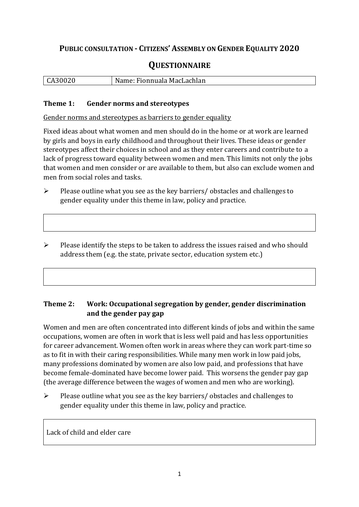## **PUBLIC CONSULTATION - CITIZENS' ASSEMBLY ON GENDER EQUALITY 2020**

# **QUESTIONNAIRE**

| CA30020 | Name: Fionnuala MacLachlan |
|---------|----------------------------|
|         |                            |

#### **Theme 1: Gender norms and stereotypes**

Gender norms and stereotypes as barriers to gender equality

Fixed ideas about what women and men should do in the home or at work are learned by girls and boys in early childhood and throughout their lives. These ideas or gender stereotypes affect their choices in school and as they enter careers and contribute to a lack of progress toward equality between women and men. This limits not only the jobs that women and men consider or are available to them, but also can exclude women and men from social roles and tasks.

➢ Please outline what you see as the key barriers/ obstacles and challenges to gender equality under this theme in law, policy and practice.

➢ Please identify the steps to be taken to address the issues raised and who should address them (e.g. the state, private sector, education system etc.)

#### **Theme 2: Work: Occupational segregation by gender, gender discrimination and the gender pay gap**

Women and men are often concentrated into different kinds of jobs and within the same occupations, women are often in work that is less well paid and has less opportunities for career advancement. Women often work in areas where they can work part-time so as to fit in with their caring responsibilities. While many men work in low paid jobs, many professions dominated by women are also low paid, and professions that have become female-dominated have become lower paid. This worsens the gender pay gap (the average difference between the wages of women and men who are working).

➢ Please outline what you see as the key barriers/ obstacles and challenges to gender equality under this theme in law, policy and practice.

Lack of child and elder care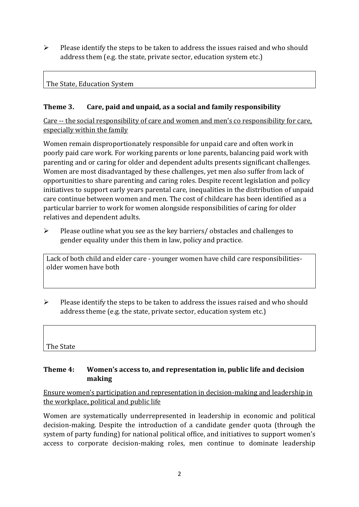$\triangleright$  Please identify the steps to be taken to address the issues raised and who should address them (e.g. the state, private sector, education system etc.)

### The State, Education System

## **Theme 3. Care, paid and unpaid, as a social and family responsibility**

Care -- the social responsibility of care and women and men's co responsibility for care, especially within the family

Women remain disproportionately responsible for unpaid care and often work in poorly paid care work. For working parents or [lone parents,](https://aran.library.nuigalway.ie/bitstream/handle/10379/6044/Millar_and_Crosse_Activation_Report.pdf?sequence=1&isAllowed=y) balancing paid work with parenting and or caring for older and dependent adults presents significant challenges. Women are [most disadvantaged by these challenges,](https://eige.europa.eu/gender-equality-index/game/IE/W) yet men also suffer from lack of opportunities to share parenting and caring roles. Despite recent legislation and policy initiatives to support early years parental care, [inequalities in the distribution of unpaid](https://www.ihrec.ie/app/uploads/2019/07/Caring-and-Unpaid-Work-in-Ireland_Final.pdf)  [care](https://www.ihrec.ie/app/uploads/2019/07/Caring-and-Unpaid-Work-in-Ireland_Final.pdf) continue between women and men. The cost of childcare has been identified as a particular barrier to work for women alongside responsibilities of caring for older relatives and dependent adults.

➢ Please outline what you see as the key barriers/ obstacles and challenges to gender equality under this them in law, policy and practice.

Lack of both child and elder care - younger women have child care responsibilitiesolder women have both

 $\triangleright$  Please identify the steps to be taken to address the issues raised and who should address theme (e.g. the state, private sector, education system etc.)

The State

#### **Theme 4: Women's access to, and representation in, public life and decision making**

Ensure women's participation and representation in decision-making and leadership in the workplace, political and public life

Women are systematically underrepresented in leadership in [economic](https://eige.europa.eu/gender-equality-index/2019/compare-countries/power/2/bar) and [political](https://eige.europa.eu/gender-equality-index/2019/compare-countries/power/1/bar)  [decision-](https://eige.europa.eu/gender-equality-index/2019/compare-countries/power/1/bar)making. Despite the introduction of a candidate gender quota (through the system of party funding) for national political office, and [initiatives](https://betterbalance.ie/) to support women's access to corporate decision-making roles, men continue to dominate leadership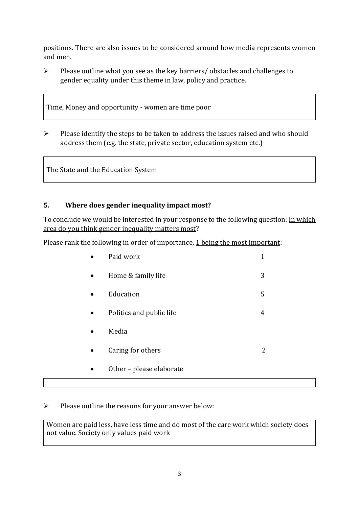positions. There are also issues to be considered around how media represents women and men.

➢ Please outline what you see as the key barriers/ obstacles and challenges to gender equality under this theme in law, policy and practice.

Time, Money and opportunity - women are time poor

➢ Please identify the steps to be taken to address the issues raised and who should address them (e.g. the state, private sector, education system etc.)

The State and the Education System

## **5. Where does gender inequality impact most?**

To conclude we would be interested in your response to the following question: In which area do you think gender inequality matters most?

Please rank the following in order of importance, 1 being the most important:

| Paid work                |   |
|--------------------------|---|
| Home & family life       | 3 |
| Education                | 5 |
| Politics and public life | 4 |
| Media                    |   |
| Caring for others        |   |
| Other – please elaborate |   |

### ➢ Please outline the reasons for your answer below:

Women are paid less, have less time and do most of the care work which society does not value. Society only values paid work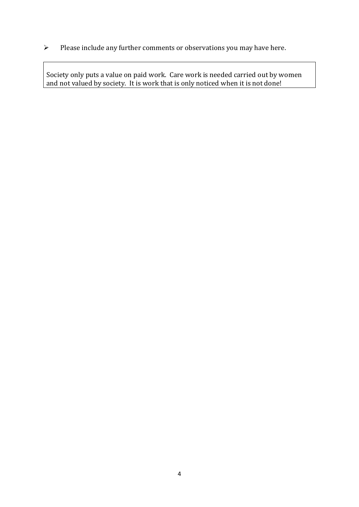➢ Please include any further comments or observations you may have here.

Society only puts a value on paid work. Care work is needed carried out by women and not valued by society. It is work that is only noticed when it is not done!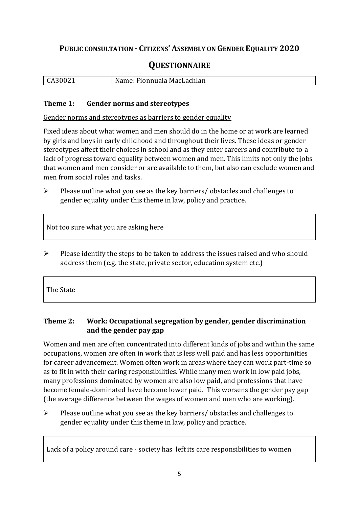# **PUBLIC CONSULTATION - CITIZENS' ASSEMBLY ON GENDER EQUALITY 2020**

# **QUESTIONNAIRE**

| CA30021 | Name:<br>Fionnuala MacLachlan |
|---------|-------------------------------|
|         |                               |

#### **Theme 1: Gender norms and stereotypes**

Gender norms and stereotypes as barriers to gender equality

Fixed ideas about what women and men should do in the home or at work are learned by girls and boys in early childhood and throughout their lives. These ideas or gender stereotypes affect their choices in school and as they enter careers and contribute to a lack of progress toward equality between women and men. This limits not only the jobs that women and men consider or are available to them, but also can exclude women and men from social roles and tasks.

➢ Please outline what you see as the key barriers/ obstacles and challenges to gender equality under this theme in law, policy and practice.

Not too sure what you are asking here

➢ Please identify the steps to be taken to address the issues raised and who should address them (e.g. the state, private sector, education system etc.)

The State

## **Theme 2: Work: Occupational segregation by gender, gender discrimination and the gender pay gap**

Women and men are often concentrated into different kinds of jobs and within the same occupations, women are often in work that is less well paid and has less opportunities for career advancement. Women often work in areas where they can work part-time so as to fit in with their caring responsibilities. While many men work in low paid jobs, many professions dominated by women are also low paid, and professions that have become female-dominated have become lower paid. This worsens the gender pay gap (the average difference between the wages of women and men who are working).

➢ Please outline what you see as the key barriers/ obstacles and challenges to gender equality under this theme in law, policy and practice.

Lack of a policy around care - society has left its care responsibilities to women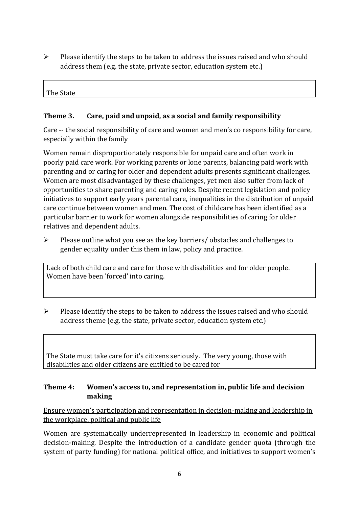➢ Please identify the steps to be taken to address the issues raised and who should address them (e.g. the state, private sector, education system etc.)

| The State |  |  |  |
|-----------|--|--|--|
|           |  |  |  |

### **Theme 3. Care, paid and unpaid, as a social and family responsibility**

Care -- the social responsibility of care and women and men's co responsibility for care, especially within the family

Women remain disproportionately responsible for unpaid care and often work in poorly paid care work. For working parents or [lone parents,](https://aran.library.nuigalway.ie/bitstream/handle/10379/6044/Millar_and_Crosse_Activation_Report.pdf?sequence=1&isAllowed=y) balancing paid work with parenting and or caring for older and dependent adults presents significant challenges. Women are [most disadvantaged by these challenges,](https://eige.europa.eu/gender-equality-index/game/IE/W) yet men also suffer from lack of opportunities to share parenting and caring roles. Despite recent legislation and policy initiatives to support early years parental care, [inequalities in the distribution of unpaid](https://www.ihrec.ie/app/uploads/2019/07/Caring-and-Unpaid-Work-in-Ireland_Final.pdf)  [care](https://www.ihrec.ie/app/uploads/2019/07/Caring-and-Unpaid-Work-in-Ireland_Final.pdf) continue between women and men. The cost of childcare has been identified as a particular barrier to work for women alongside responsibilities of caring for older relatives and dependent adults.

➢ Please outline what you see as the key barriers/ obstacles and challenges to gender equality under this them in law, policy and practice.

Lack of both child care and care for those with disabilities and for older people. Women have been 'forced' into caring.

➢ Please identify the steps to be taken to address the issues raised and who should address theme (e.g. the state, private sector, education system etc.)

The State must take care for it's citizens seriously. The very young, those with disabilities and older citizens are entitled to be cared for

## **Theme 4: Women's access to, and representation in, public life and decision making**

Ensure women's participation and representation in decision-making and leadership in the workplace, political and public life

Women are systematically underrepresented in leadership in [economic](https://eige.europa.eu/gender-equality-index/2019/compare-countries/power/2/bar) and [political](https://eige.europa.eu/gender-equality-index/2019/compare-countries/power/1/bar)  [decision-](https://eige.europa.eu/gender-equality-index/2019/compare-countries/power/1/bar)making. Despite the introduction of a candidate gender quota (through the system of party funding) for national political office, and [initiatives](https://betterbalance.ie/) to support women's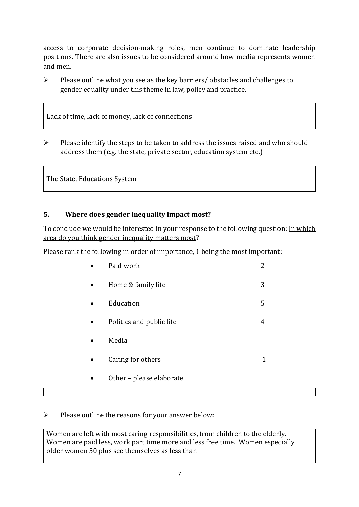access to corporate decision-making roles, men continue to dominate leadership positions. There are also issues to be considered around how media represents women and men.

➢ Please outline what you see as the key barriers/ obstacles and challenges to gender equality under this theme in law, policy and practice.

Lack of time, lack of money, lack of connections

 $\triangleright$  Please identify the steps to be taken to address the issues raised and who should address them (e.g. the state, private sector, education system etc.)

The State, Educations System

## **5. Where does gender inequality impact most?**

To conclude we would be interested in your response to the following question: In which area do you think gender inequality matters most?

Please rank the following in order of importance, 1 being the most important:

| Paid work                |   |
|--------------------------|---|
| Home & family life       | 3 |
| Education                | 5 |
| Politics and public life | 4 |
| Media                    |   |
| Caring for others        |   |
| Other - please elaborate |   |

## ➢ Please outline the reasons for your answer below:

Women are left with most caring responsibilities, from children to the elderly. Women are paid less, work part time more and less free time. Women especially older women 50 plus see themselves as less than